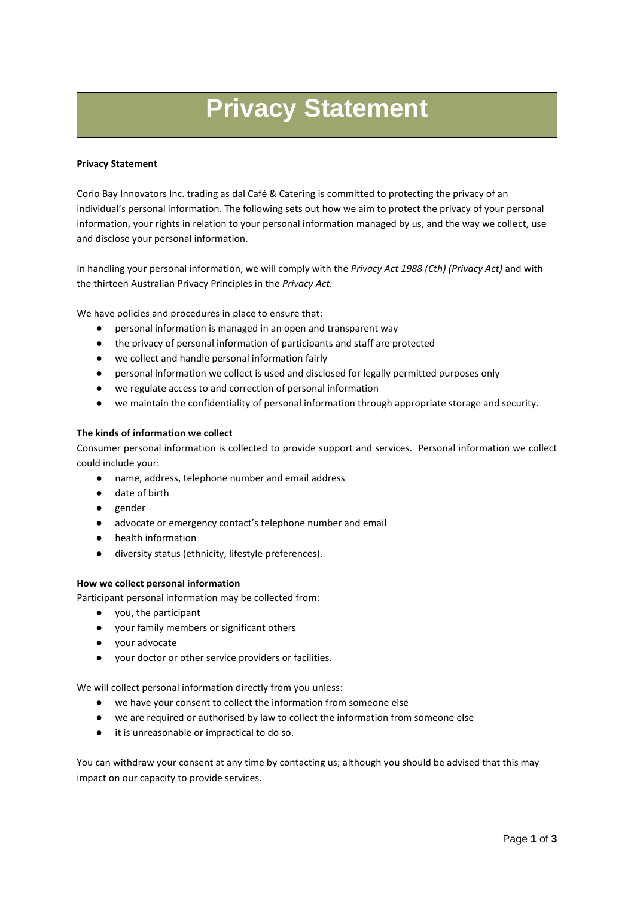# **Privacy Statement**

#### **Privacy Statement**

Corio Bay Innovators Inc. trading as dal Café & Catering is committed to protecting the privacy of an individual's personal information. The following sets out how we aim to protect the privacy of your personal information, your rights in relation to your personal information managed by us, and the way we collect, use and disclose your personal information.

In handling your personal information, we will comply with the *Privacy Act 1988 (Cth) (Privacy Act)* and with the thirteen Australian Privacy Principles in the *Privacy Act.*

We have policies and procedures in place to ensure that:

- personal information is managed in an open and transparent way
- the privacy of personal information of participants and staff are protected
- we collect and handle personal information fairly
- personal information we collect is used and disclosed for legally permitted purposes only
- we regulate access to and correction of personal information
- we maintain the confidentiality of personal information through appropriate storage and security.

#### **The kinds of information we collect**

Consumer personal information is collected to provide support and services. Personal information we collect could include your:

- name, address, telephone number and email address
- date of birth
- gender
- advocate or emergency contact's telephone number and email
- health information
- diversity status (ethnicity, lifestyle preferences).

#### **How we collect personal information**

Participant personal information may be collected from:

- you, the participant
- your family members or significant others
- your advocate
- your doctor or other service providers or facilities.

We will collect personal information directly from you unless:

- we have your consent to collect the information from someone else
- we are required or authorised by law to collect the information from someone else
- it is unreasonable or impractical to do so.

You can withdraw your consent at any time by contacting us; although you should be advised that this may impact on our capacity to provide services.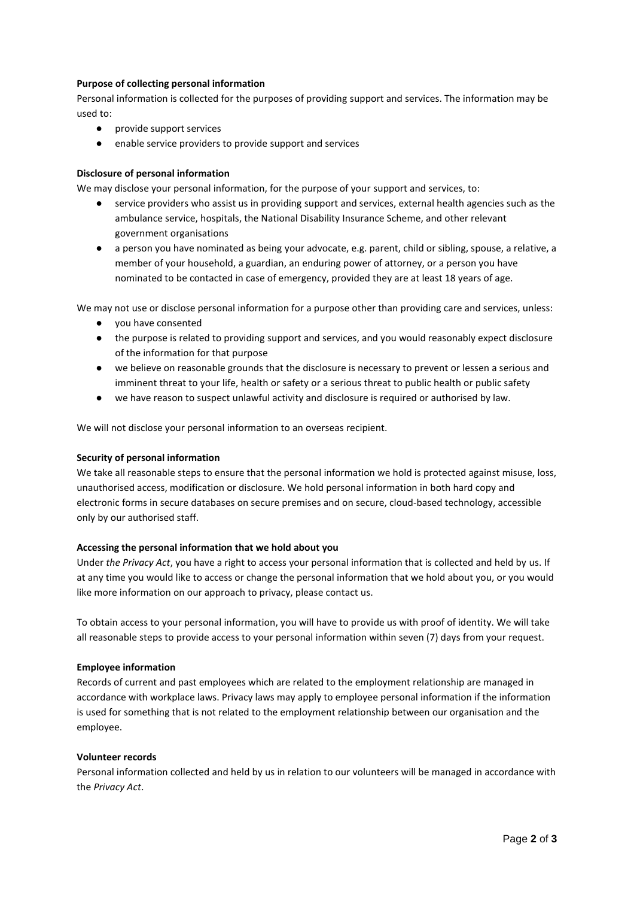## **Purpose of collecting personal information**

Personal information is collected for the purposes of providing support and services. The information may be used to:

- provide support services
- enable service providers to provide support and services

## **Disclosure of personal information**

We may disclose your personal information, for the purpose of your support and services, to:

- service providers who assist us in providing support and services, external health agencies such as the ambulance service, hospitals, the National Disability Insurance Scheme, and other relevant government organisations
- a person you have nominated as being your advocate, e.g. parent, child or sibling, spouse, a relative, a member of your household, a guardian, an enduring power of attorney, or a person you have nominated to be contacted in case of emergency, provided they are at least 18 years of age.

We may not use or disclose personal information for a purpose other than providing care and services, unless:

- you have consented
- the purpose is related to providing support and services, and you would reasonably expect disclosure of the information for that purpose
- we believe on reasonable grounds that the disclosure is necessary to prevent or lessen a serious and imminent threat to your life, health or safety or a serious threat to public health or public safety
- we have reason to suspect unlawful activity and disclosure is required or authorised by law.

We will not disclose your personal information to an overseas recipient.

## **Security of personal information**

We take all reasonable steps to ensure that the personal information we hold is protected against misuse, loss, unauthorised access, modification or disclosure. We hold personal information in both hard copy and electronic forms in secure databases on secure premises and on secure, cloud-based technology, accessible only by our authorised staff.

#### **Accessing the personal information that we hold about you**

Under *the Privacy Act*, you have a right to access your personal information that is collected and held by us. If at any time you would like to access or change the personal information that we hold about you, or you would like more information on our approach to privacy, please contact us.

To obtain access to your personal information, you will have to provide us with proof of identity. We will take all reasonable steps to provide access to your personal information within seven (7) days from your request.

#### **Employee information**

Records of current and past employees which are related to the employment relationship are managed in accordance with workplace laws. Privacy laws may apply to employee personal information if the information is used for something that is not related to the employment relationship between our organisation and the employee.

## **Volunteer records**

Personal information collected and held by us in relation to our volunteers will be managed in accordance with the *Privacy Act*.